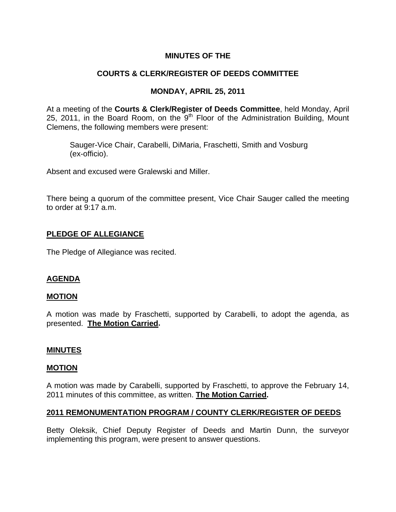# **MINUTES OF THE**

# **COURTS & CLERK/REGISTER OF DEEDS COMMITTEE**

### **MONDAY, APRIL 25, 2011**

At a meeting of the **Courts & Clerk/Register of Deeds Committee**, held Monday, April 25, 2011, in the Board Room, on the  $9<sup>th</sup>$  Floor of the Administration Building, Mount Clemens, the following members were present:

Sauger-Vice Chair, Carabelli, DiMaria, Fraschetti, Smith and Vosburg (ex-officio).

Absent and excused were Gralewski and Miller.

There being a quorum of the committee present, Vice Chair Sauger called the meeting to order at 9:17 a.m.

# **PLEDGE OF ALLEGIANCE**

The Pledge of Allegiance was recited.

# **AGENDA**

# **MOTION**

A motion was made by Fraschetti, supported by Carabelli, to adopt the agenda, as presented. **The Motion Carried.** 

#### **MINUTES**

#### **MOTION**

A motion was made by Carabelli, supported by Fraschetti, to approve the February 14, 2011 minutes of this committee, as written. **The Motion Carried.** 

# **2011 REMONUMENTATION PROGRAM / COUNTY CLERK/REGISTER OF DEEDS**

Betty Oleksik, Chief Deputy Register of Deeds and Martin Dunn, the surveyor implementing this program, were present to answer questions.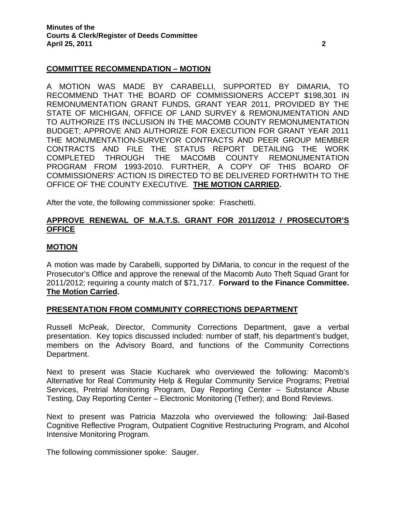### **COMMITTEE RECOMMENDATION – MOTION**

A MOTION WAS MADE BY CARABELLI, SUPPORTED BY DiMARIA, TO RECOMMEND THAT THE BOARD OF COMMISSIONERS ACCEPT \$198,301 IN REMONUMENTATION GRANT FUNDS, GRANT YEAR 2011, PROVIDED BY THE STATE OF MICHIGAN, OFFICE OF LAND SURVEY & REMONUMENTATION AND TO AUTHORIZE ITS INCLUSION IN THE MACOMB COUNTY REMONUMENTATION BUDGET; APPROVE AND AUTHORIZE FOR EXECUTION FOR GRANT YEAR 2011 THE MONUMENTATION-SURVEYOR CONTRACTS AND PEER GROUP MEMBER CONTRACTS AND FILE THE STATUS REPORT DETAILING THE WORK COMPLETED THROUGH THE MACOMB COUNTY REMONUMENTATION PROGRAM FROM 1993-2010. FURTHER, A COPY OF THIS BOARD OF COMMISSIONERS' ACTION IS DIRECTED TO BE DELIVERED FORTHWITH TO THE OFFICE OF THE COUNTY EXECUTIVE. **THE MOTION CARRIED.** 

After the vote, the following commissioner spoke: Fraschetti.

### **APPROVE RENEWAL OF M.A.T.S. GRANT FOR 2011/2012 / PROSECUTOR'S OFFICE**

#### **MOTION**

A motion was made by Carabelli, supported by DiMaria, to concur in the request of the Prosecutor's Office and approve the renewal of the Macomb Auto Theft Squad Grant for 2011/2012; requiring a county match of \$71,717. **Forward to the Finance Committee. The Motion Carried.** 

#### **PRESENTATION FROM COMMUNITY CORRECTIONS DEPARTMENT**

Russell McPeak, Director, Community Corrections Department, gave a verbal presentation. Key topics discussed included: number of staff, his department's budget, members on the Advisory Board, and functions of the Community Corrections Department.

Next to present was Stacie Kucharek who overviewed the following: Macomb's Alternative for Real Community Help & Regular Community Service Programs; Pretrial Services, Pretrial Monitoring Program, Day Reporting Center – Substance Abuse Testing, Day Reporting Center – Electronic Monitoring (Tether); and Bond Reviews.

Next to present was Patricia Mazzola who overviewed the following: Jail-Based Cognitive Reflective Program, Outpatient Cognitive Restructuring Program, and Alcohol Intensive Monitoring Program.

The following commissioner spoke: Sauger.